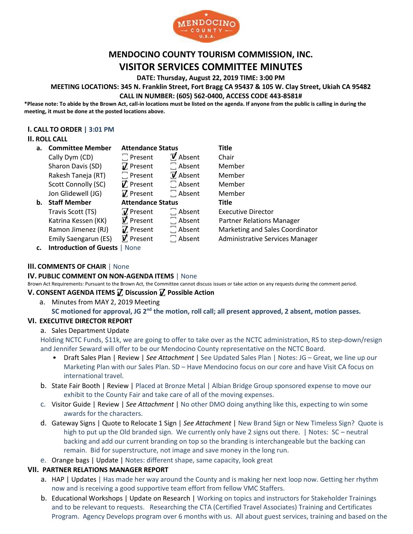

# **MENDOCINO COUNTY TOURISM COMMISSION, INC. VISITOR SERVICES COMMITTEE MINUTES**

**DATE: Thursday, August 22, 2019 TIME: 3:00 PM**

**MEETING LOCATIONS: 345 N. Franklin Street, Fort Bragg CA 95437 & 105 W. Clay Street, Ukiah CA 95482 CALL IN NUMBER: (605) 562-0400, ACCESS CODE 443-8581#**

**\*Please note: To abide by the Brown Act, call-in locations must be listed on the agenda. If anyone from the public is calling in during the meeting, it must be done at the posted locations above.**

#### **I. CALL TO ORDER | 3:01 PM**

### **II. ROLL CALL**

| а. | <b>Committee Member</b> | <b>Attendance Status</b> |                  | <b>Title</b>                     |
|----|-------------------------|--------------------------|------------------|----------------------------------|
|    | Cally Dym (CD)          | $\Box$ Present           | $\vec{v}$ Absent | Chair                            |
|    | Sharon Davis (SD)       | $\n  T\n  Present\n$     | $\Box$ Absent    | Member                           |
|    | Rakesh Taneja (RT)      | $\Box$ Present           | $\vec{v}$ Absent | Member                           |
|    | Scott Connolly (SC)     | $\nabla$ Present         | $\Box$ Absent    | Member                           |
|    | Jon Glidewell (JG)      | $\vec{v}$ Present        | $\Box$ Absent    | Member                           |
|    |                         | <b>Attendance Status</b> |                  |                                  |
| b. | <b>Staff Member</b>     |                          |                  | <b>Title</b>                     |
|    | Travis Scott (TS)       | $\overline{V}$ Present   | $\Box$ Absent    | <b>Executive Director</b>        |
|    | Katrina Kessen (KK)     | $\vec{v}$ Present        | $\Box$ Absent    | <b>Partner Relations Manager</b> |
|    | Ramon Jimenez (RJ)      | $\nabla$ Present         | $\Box$ Absent    | Marketing and Sales Coordinator  |
|    | Emily Saengarun (ES)    | $\vec{v}$ . Present      | $\Box$ Absent    | Administrative Services Manager  |

**c. Introduction of Guests** | None

## **III. COMMENTS OF CHAIR** | None

### **IV. PUBLIC COMMENT ON NON-AGENDA ITEMS** | None

Brown Act Requirements: Pursuant to the Brown Act, the Committee cannot discuss issues or take action on any requests during the comment period.

#### **V. CONSENT AGENDA ITEMS ꙱ Discussion ꙱ Possible Action**

a. Minutes from MAY 2, 2019 Meeting

## **SC motioned for approval, JG 2nd the motion, roll call; all present approved, 2 absent, motion passes.**

### **VI. EXECUTIVE DIRECTOR REPORT**

### a. Sales Department Update

Holding NCTC Funds, \$11k, we are going to offer to take over as the NCTC administration, RS to step-down/resign and Jennifer Seward will offer to be our Mendocino County representative on the NCTC Board.

- Draft Sales Plan | Review | *See Attachment* | See Updated Sales Plan | Notes: JG Great, we line up our Marketing Plan with our Sales Plan. SD – Have Mendocino focus on our core and have Visit CA focus on international travel.
- b. State Fair Booth | Review | Placed at Bronze Metal | Albian Bridge Group sponsored expense to move our exhibit to the County Fair and take care of all of the moving expenses.
- c. Visitor Guide | Review | *See Attachment* | No other DMO doing anything like this, expecting to win some awards for the characters.
- d. Gateway Signs | Quote to Relocate 1 Sign | *See Attachment* | New Brand Sign or New Timeless Sign? Quote is high to put up the Old branded sign. We currently only have 2 signs out there. | Notes: SC – neutral backing and add our current branding on top so the branding is interchangeable but the backing can remain. Bid for superstructure, not image and save money in the long run.
- e. Orange bags | Update | Notes: different shape, same capacity, look great

### **VII. PARTNER RELATIONS MANAGER REPORT**

- a. HAP | Updates | Has made her way around the County and is making her next loop now. Getting her rhythm now and is receiving a good supportive team effort from fellow VMC Staffers.
- b. Educational Workshops | Update on Research | Working on topics and instructors for Stakeholder Trainings and to be relevant to requests. Researching the CTA (Certified Travel Associates) Training and Certificates Program. Agency Develops program over 6 months with us. All about guest services, training and based on the